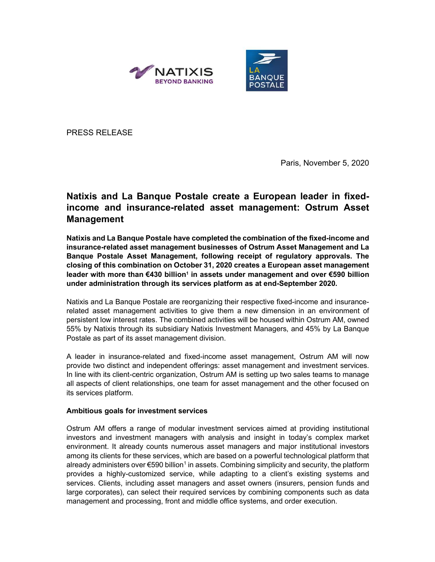



PRESS RELEASE

Paris, November 5, 2020

# Natixis and La Banque Postale create a European leader in fixedincome and insurance-related asset management: Ostrum Asset Management

Natixis and La Banque Postale have completed the combination of the fixed-income and insurance-related asset management businesses of Ostrum Asset Management and La Banque Postale Asset Management, following receipt of regulatory approvals. The closing of this combination on October 31, 2020 creates a European asset management leader with more than €430 billion<sup>1</sup> in assets under management and over €590 billion under administration through its services platform as at end-September 2020.

Natixis and La Banque Postale are reorganizing their respective fixed-income and insurancerelated asset management activities to give them a new dimension in an environment of persistent low interest rates. The combined activities will be housed within Ostrum AM, owned 55% by Natixis through its subsidiary Natixis Investment Managers, and 45% by La Banque Postale as part of its asset management division.

A leader in insurance-related and fixed-income asset management, Ostrum AM will now provide two distinct and independent offerings: asset management and investment services. In line with its client-centric organization, Ostrum AM is setting up two sales teams to manage all aspects of client relationships, one team for asset management and the other focused on its services platform.

# Ambitious goals for investment services

Ostrum AM offers a range of modular investment services aimed at providing institutional investors and investment managers with analysis and insight in today's complex market environment. It already counts numerous asset managers and major institutional investors among its clients for these services, which are based on a powerful technological platform that already administers over €590 billion<sup>1</sup> in assets. Combining simplicity and security, the platform provides a highly-customized service, while adapting to a client's existing systems and services. Clients, including asset managers and asset owners (insurers, pension funds and large corporates), can select their required services by combining components such as data management and processing, front and middle office systems, and order execution.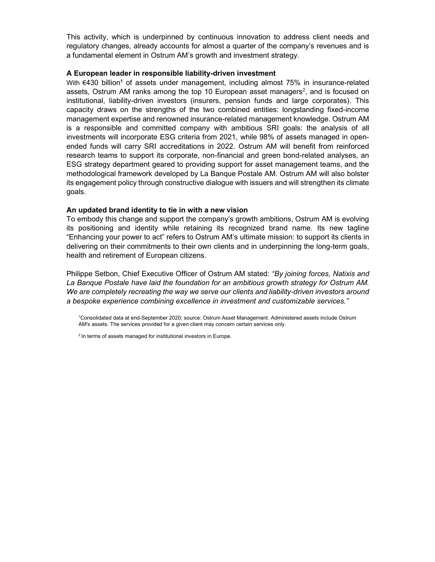This activity, which is underpinned by continuous innovation to address client needs and regulatory changes, already accounts for almost a quarter of the company's revenues and is a fundamental element in Ostrum AM's growth and investment strategy.

## A European leader in responsible liability-driven investment

With €430 billion<sup>1</sup> of assets under management, including almost 75% in insurance-related assets, Ostrum AM ranks among the top 10 European asset managers<sup>2</sup>, and is focused on institutional, liability-driven investors (insurers, pension funds and large corporates). This capacity draws on the strengths of the two combined entities: longstanding fixed-income management expertise and renowned insurance-related management knowledge. Ostrum AM is a responsible and committed company with ambitious SRI goals: the analysis of all investments will incorporate ESG criteria from 2021, while 98% of assets managed in openended funds will carry SRI accreditations in 2022. Ostrum AM will benefit from reinforced research teams to support its corporate, non-financial and green bond-related analyses, an ESG strategy department geared to providing support for asset management teams, and the methodological framework developed by La Banque Postale AM. Ostrum AM will also bolster its engagement policy through constructive dialogue with issuers and will strengthen its climate goals.

## An updated brand identity to tie in with a new vision

To embody this change and support the company's growth ambitions, Ostrum AM is evolving its positioning and identity while retaining its recognized brand name. Its new tagline "Enhancing your power to act" refers to Ostrum AM's ultimate mission: to support its clients in delivering on their commitments to their own clients and in underpinning the long-term goals, health and retirement of European citizens.

Philippe Setbon, Chief Executive Officer of Ostrum AM stated: "By joining forces, Natixis and La Banque Postale have laid the foundation for an ambitious growth strategy for Ostrum AM. We are completely recreating the way we serve our clients and liability-driven investors around a bespoke experience combining excellence in investment and customizable services."

<sup>1</sup>Consolidated data at end-September 2020; source: Ostrum Asset Management. Administered assets include Ostrum AM's assets. The services provided for a given client may concern certain services only.

2 In terms of assets managed for institutional investors in Europe.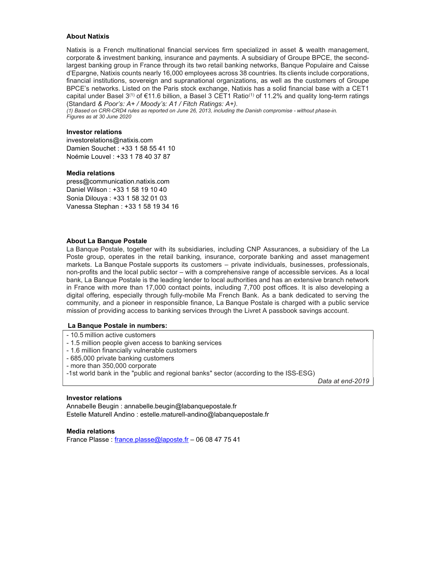### About Natixis

Natixis is a French multinational financial services firm specialized in asset & wealth management, corporate & investment banking, insurance and payments. A subsidiary of Groupe BPCE, the secondlargest banking group in France through its two retail banking networks, Banque Populaire and Caisse d'Epargne, Natixis counts nearly 16,000 employees across 38 countries. Its clients include corporations, financial institutions, sovereign and supranational organizations, as well as the customers of Groupe BPCE's networks. Listed on the Paris stock exchange, Natixis has a solid financial base with a CET1 capital under Basel 3<sup>(1)</sup> of €11.6 billion, a Basel 3 CET1 Ratio<sup>(1)</sup> of 11.2% and quality long-term ratings (Standard & Poor's: A+ / Moody's: A1 / Fitch Ratings: A+).

(1) Based on CRR-CRD4 rules as reported on June 26, 2013, including the Danish compromise - without phase-in. Figures as at 30 June 2020

## Investor relations

Damien Souchet : +33 1 58 55 41 10 Noémie Louvel : +33 1 78 40 37 87 investorelations@natixis.com

#### Media relations

press@communication.natixis.com Daniel Wilson : +33 1 58 19 10 40 Sonia Dilouya : +33 1 58 32 01 03 Vanessa Stephan : +33 1 58 19 34 16

#### About La Banque Postale

La Banque Postale, together with its subsidiaries, including CNP Assurances, a subsidiary of the La Poste group, operates in the retail banking, insurance, corporate banking and asset management markets. La Banque Postale supports its customers – private individuals, businesses, professionals, non-profits and the local public sector – with a comprehensive range of accessible services. As a local bank, La Banque Postale is the leading lender to local authorities and has an extensive branch network in France with more than 17,000 contact points, including 7,700 post offices. It is also developing a digital offering, especially through fully-mobile Ma French Bank. As a bank dedicated to serving the community, and a pioneer in responsible finance, La Banque Postale is charged with a public service mission of providing access to banking services through the Livret A passbook savings account.

#### La Banque Postale in numbers:

- 10.5 million active customers
- 1.5 million people given access to banking services
- 1.6 million financially vulnerable customers
- 685,000 private banking customers
- more than 350,000 corporate
- -1st world bank in the "public and regional banks" sector (according to the ISS-ESG)

Data at end-2019

#### Investor relations

Annabelle Beugin : annabelle.beugin@labanquepostale.fr Estelle Maturell Andino : estelle.maturell-andino@labanquepostale.fr

Media relations France Plasse : france.plasse@laposte.fr – 06 08 47 75 41